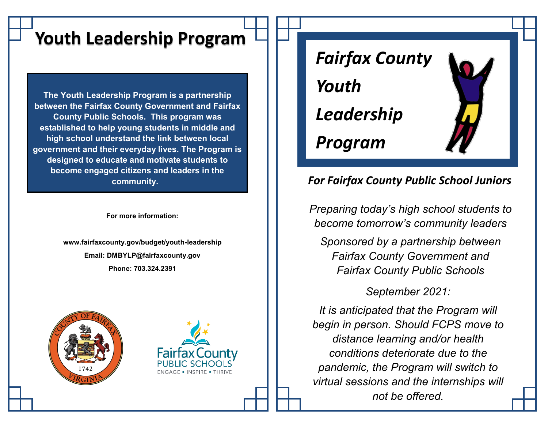# **Youth Leadership Program**

**The Youth Leadership Program is a partnership between the Fairfax County Government and Fairfax County Public Schools. This program was established to help young students in middle and high school understand the link between local government and their everyday lives. The Program is designed to educate and motivate students to become engaged citizens and leaders in the community.** 

**For more information:**

**www.fairfaxcounty.gov/budget/youth-leadership Email: DMBYLP@fairfaxcounty.gov Phone: 703.324.2391**







# *For Fairfax County Public School Juniors*

*Preparing today's high school students to become tomorrow's community leaders*

*Sponsored by a partnership between Fairfax County Government and Fairfax County Public Schools* 

*September 2021:*

*It is anticipated that the Program will begin in person. Should FCPS move to distance learning and/or health conditions deteriorate due to the pandemic, the Program will switch to virtual sessions and the internships will not be offered.*